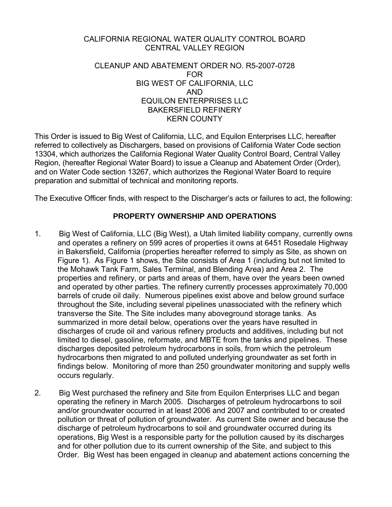#### CALIFORNIA REGIONAL WATER QUALITY CONTROL BOARD CENTRAL VALLEY REGION

#### CLEANUP AND ABATEMENT ORDER NO. R5-2007-0728 FOR BIG WEST OF CALIFORNIA, LLC AND EQUILON ENTERPRISES LLC BAKERSFIELD REFINERY KERN COUNTY

This Order is issued to Big West of California, LLC, and Equilon Enterprises LLC, hereafter referred to collectively as Dischargers, based on provisions of California Water Code section 13304, which authorizes the California Regional Water Quality Control Board, Central Valley Region, (hereafter Regional Water Board) to issue a Cleanup and Abatement Order (Order), and on Water Code section 13267, which authorizes the Regional Water Board to require preparation and submittal of technical and monitoring reports.

The Executive Officer finds, with respect to the Discharger's acts or failures to act, the following:

### **PROPERTY OWNERSHIP AND OPERATIONS**

- 1. Big West of California, LLC (Big West), a Utah limited liability company, currently owns and operates a refinery on 599 acres of properties it owns at 6451 Rosedale Highway in Bakersfield, California (properties hereafter referred to simply as Site, as shown on Figure 1). As Figure 1 shows, the Site consists of Area 1 (including but not limited to the Mohawk Tank Farm, Sales Terminal, and Blending Area) and Area 2. The properties and refinery, or parts and areas of them, have over the years been owned and operated by other parties. The refinery currently processes approximately 70,000 barrels of crude oil daily. Numerous pipelines exist above and below ground surface throughout the Site, including several pipelines unassociated with the refinery which transverse the Site. The Site includes many aboveground storage tanks. As summarized in more detail below, operations over the years have resulted in discharges of crude oil and various refinery products and additives, including but not limited to diesel, gasoline, reformate, and MBTE from the tanks and pipelines. These discharges deposited petroleum hydrocarbons in soils, from which the petroleum hydrocarbons then migrated to and polluted underlying groundwater as set forth in findings below. Monitoring of more than 250 groundwater monitoring and supply wells occurs regularly.
- 2. Big West purchased the refinery and Site from Equilon Enterprises LLC and began operating the refinery in March 2005. Discharges of petroleum hydrocarbons to soil and/or groundwater occurred in at least 2006 and 2007 and contributed to or created pollution or threat of pollution of groundwater. As current Site owner and because the discharge of petroleum hydrocarbons to soil and groundwater occurred during its operations, Big West is a responsible party for the pollution caused by its discharges and for other pollution due to its current ownership of the Site, and subject to this Order. Big West has been engaged in cleanup and abatement actions concerning the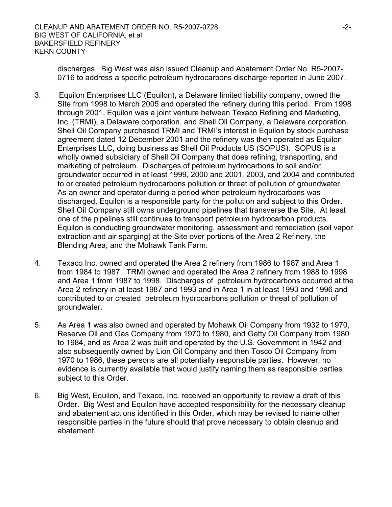discharges. Big West was also issued Cleanup and Abatement Order No. R5-2007- 0716 to address a specific petroleum hydrocarbons discharge reported in June 2007.

- 3. Equilon Enterprises LLC (Equilon), a Delaware limited liability company, owned the Site from 1998 to March 2005 and operated the refinery during this period. From 1998 through 2001, Equilon was a joint venture between Texaco Refining and Marketing, Inc. (TRMI), a Delaware corporation, and Shell Oil Company, a Delaware corporation. Shell Oil Company purchased TRMI and TRMI's interest in Equilon by stock purchase agreement dated 12 December 2001 and the refinery was then operated as Equilon Enterprises LLC, doing business as Shell Oil Products US (SOPUS). SOPUS is a wholly owned subsidiary of Shell Oil Company that does refining, transporting, and marketing of petroleum. Discharges of petroleum hydrocarbons to soil and/or groundwater occurred in at least 1999, 2000 and 2001, 2003, and 2004 and contributed to or created petroleum hydrocarbons pollution or threat of pollution of groundwater. As an owner and operator during a period when petroleum hydrocarbons was discharged, Equilon is a responsible party for the pollution and subject to this Order. Shell Oil Company still owns underground pipelines that transverse the Site. At least one of the pipelines still continues to transport petroleum hydrocarbon products. Equilon is conducting groundwater monitoring, assessment and remediation (soil vapor extraction and air sparging) at the Site over portions of the Area 2 Refinery, the Blending Area, and the Mohawk Tank Farm.
- 4. Texaco Inc. owned and operated the Area 2 refinery from 1986 to 1987 and Area 1 from 1984 to 1987. TRMI owned and operated the Area 2 refinery from 1988 to 1998 and Area 1 from 1987 to 1998. Discharges of petroleum hydrocarbons occurred at the Area 2 refinery in at least 1987 and 1993 and in Area 1 in at least 1993 and 1996 and contributed to or created petroleum hydrocarbons pollution or threat of pollution of groundwater.
- 5. As Area 1 was also owned and operated by Mohawk Oil Company from 1932 to 1970, Reserve Oil and Gas Company from 1970 to 1980, and Getty Oil Company from 1980 to 1984, and as Area 2 was built and operated by the U.S. Government in 1942 and also subsequently owned by Lion Oil Company and then Tosco Oil Company from 1970 to 1986, these persons are all potentially responsible parties. However, no evidence is currently available that would justify naming them as responsible parties subject to this Order.
- 6. Big West, Equilon, and Texaco, Inc. received an opportunity to review a draft of this Order. Big West and Equilon have accepted responsibility for the necessary cleanup and abatement actions identified in this Order, which may be revised to name other responsible parties in the future should that prove necessary to obtain cleanup and abatement.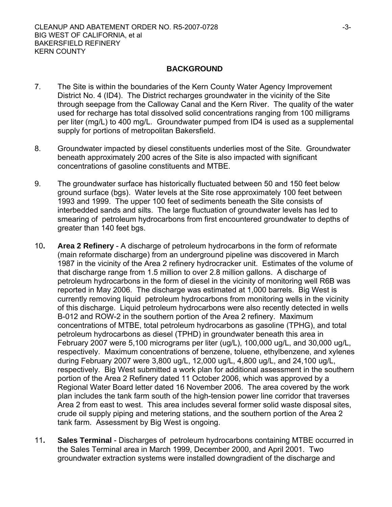#### **BACKGROUND**

- 7. The Site is within the boundaries of the Kern County Water Agency Improvement District No. 4 (ID4). The District recharges groundwater in the vicinity of the Site through seepage from the Calloway Canal and the Kern River. The quality of the water used for recharge has total dissolved solid concentrations ranging from 100 milligrams per liter (mg/L) to 400 mg/L. Groundwater pumped from ID4 is used as a supplemental supply for portions of metropolitan Bakersfield.
- 8. Groundwater impacted by diesel constituents underlies most of the Site. Groundwater beneath approximately 200 acres of the Site is also impacted with significant concentrations of gasoline constituents and MTBE.
- 9. The groundwater surface has historically fluctuated between 50 and 150 feet below ground surface (bgs). Water levels at the Site rose approximately 100 feet between 1993 and 1999. The upper 100 feet of sediments beneath the Site consists of interbedded sands and silts. The large fluctuation of groundwater levels has led to smearing of petroleum hydrocarbons from first encountered groundwater to depths of greater than 140 feet bgs.
- 10**. Area 2 Refinery** A discharge of petroleum hydrocarbons in the form of reformate (main reformate discharge) from an underground pipeline was discovered in March 1987 in the vicinity of the Area 2 refinery hydrocracker unit. Estimates of the volume of that discharge range from 1.5 million to over 2.8 million gallons. A discharge of petroleum hydrocarbons in the form of diesel in the vicinity of monitoring well R6B was reported in May 2006. The discharge was estimated at 1,000 barrels. Big West is currently removing liquid petroleum hydrocarbons from monitoring wells in the vicinity of this discharge. Liquid petroleum hydrocarbons were also recently detected in wells B-012 and ROW-2 in the southern portion of the Area 2 refinery. Maximum concentrations of MTBE, total petroleum hydrocarbons as gasoline (TPHG), and total petroleum hydrocarbons as diesel (TPHD) in groundwater beneath this area in February 2007 were 5,100 micrograms per liter (ug/L), 100,000 ug/L, and 30,000 ug/L, respectively. Maximum concentrations of benzene, toluene, ethylbenzene, and xylenes during February 2007 were 3,800 ug/L, 12,000 ug/L, 4,800 ug/L, and 24,100 ug/L, respectively. Big West submitted a work plan for additional assessment in the southern portion of the Area 2 Refinery dated 11 October 2006, which was approved by a Regional Water Board letter dated 16 November 2006. The area covered by the work plan includes the tank farm south of the high-tension power line corridor that traverses Area 2 from east to west. This area includes several former solid waste disposal sites, crude oil supply piping and metering stations, and the southern portion of the Area 2 tank farm. Assessment by Big West is ongoing.
- 11**. Sales Terminal** Discharges of petroleum hydrocarbons containing MTBE occurred in the Sales Terminal area in March 1999, December 2000, and April 2001. Two groundwater extraction systems were installed downgradient of the discharge and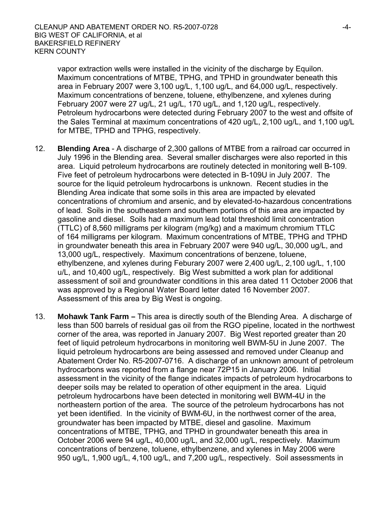vapor extraction wells were installed in the vicinity of the discharge by Equilon. Maximum concentrations of MTBE, TPHG, and TPHD in groundwater beneath this area in February 2007 were 3,100 ug/L, 1,100 ug/L, and 64,000 ug/L, respectively. Maximum concentrations of benzene, toluene, ethylbenzene, and xylenes during February 2007 were 27 ug/L, 21 ug/L, 170 ug/L, and 1,120 ug/L, respectively. Petroleum hydrocarbons were detected during February 2007 to the west and offsite of the Sales Terminal at maximum concentrations of 420 ug/L, 2,100 ug/L, and 1,100 ug/L for MTBE, TPHD and TPHG, respectively.

- 12. **Blending Area** A discharge of 2,300 gallons of MTBE from a railroad car occurred in July 1996 in the Blending area. Several smaller discharges were also reported in this area. Liquid petroleum hydrocarbons are routinely detected in monitoring well B-109. Five feet of petroleum hydrocarbons were detected in B-109U in July 2007. The source for the liquid petroleum hydrocarbons is unknown. Recent studies in the Blending Area indicate that some soils in this area are impacted by elevated concentrations of chromium and arsenic, and by elevated-to-hazardous concentrations of lead. Soils in the southeastern and southern portions of this area are impacted by gasoline and diesel. Soils had a maximum lead total threshold limit concentration (TTLC) of 8,560 milligrams per kilogram (mg/kg) and a maximum chromium TTLC of 164 milligrams per kilogram. Maximum concentrations of MTBE, TPHG and TPHD in groundwater beneath this area in February 2007 were 940 ug/L, 30,000 ug/L, and 13,000 ug/L, respectively. Maximum concentrations of benzene, toluene, ethylbenzene, and xylenes during Feburary 2007 were 2,400 ug/L, 2,100 ug/L, 1,100 u/L, and 10,400 ug/L, respectively. Big West submitted a work plan for additional assessment of soil and groundwater conditions in this area dated 11 October 2006 that was approved by a Regional Water Board letter dated 16 November 2007. Assessment of this area by Big West is ongoing.
- 13. **Mohawk Tank Farm** This area is directly south of the Blending Area. A discharge of less than 500 barrels of residual gas oil from the RGO pipeline, located in the northwest corner of the area, was reported in January 2007. Big West reported greater than 20 feet of liquid petroleum hydrocarbons in monitoring well BWM-5U in June 2007. The liquid petroleum hydrocarbons are being assessed and removed under Cleanup and Abatement Order No. R5-2007-0716. A discharge of an unknown amount of petroleum hydrocarbons was reported from a flange near 72P15 in January 2006. Initial assessment in the vicinity of the flange indicates impacts of petroleum hydrocarbons to deeper soils may be related to operation of other equipment in the area. Liquid petroleum hydrocarbons have been detected in monitoring well BWM-4U in the northeastern portion of the area. The source of the petroleum hydrocarbons has not yet been identified. In the vicinity of BWM-6U, in the northwest corner of the area, groundwater has been impacted by MTBE, diesel and gasoline. Maximum concentrations of MTBE, TPHG, and TPHD in groundwater beneath this area in October 2006 were 94 ug/L, 40,000 ug/L, and 32,000 ug/L, respectively. Maximum concentrations of benzene, toluene, ethylbenzene, and xylenes in May 2006 were 950 ug/L, 1,900 ug/L, 4,100 ug/L, and 7,200 ug/L, respectively. Soil assessments in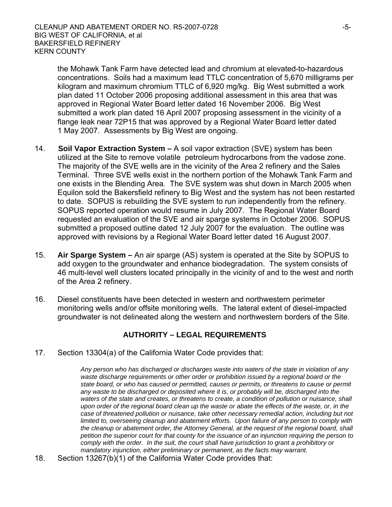the Mohawk Tank Farm have detected lead and chromium at elevated-to-hazardous concentrations. Soils had a maximum lead TTLC concentration of 5,670 milligrams per kilogram and maximum chromium TTLC of 6,920 mg/kg. Big West submitted a work plan dated 11 October 2006 proposing additional assessment in this area that was approved in Regional Water Board letter dated 16 November 2006. Big West submitted a work plan dated 16 April 2007 proposing assessment in the vicinity of a flange leak near 72P15 that was approved by a Regional Water Board letter dated 1 May 2007. Assessments by Big West are ongoing.

- 14. **Soil Vapor Extraction System** A soil vapor extraction (SVE) system has been utilized at the Site to remove volatile petroleum hydrocarbons from the vadose zone. The majority of the SVE wells are in the vicinity of the Area 2 refinery and the Sales Terminal. Three SVE wells exist in the northern portion of the Mohawk Tank Farm and one exists in the Blending Area. The SVE system was shut down in March 2005 when Equilon sold the Bakersfield refinery to Big West and the system has not been restarted to date. SOPUS is rebuilding the SVE system to run independently from the refinery. SOPUS reported operation would resume in July 2007. The Regional Water Board requested an evaluation of the SVE and air sparge systems in October 2006. SOPUS submitted a proposed outline dated 12 July 2007 for the evaluation. The outline was approved with revisions by a Regional Water Board letter dated 16 August 2007.
- 15. **Air Sparge System** An air sparge (AS) system is operated at the Site by SOPUS to add oxygen to the groundwater and enhance biodegradation. The system consists of 46 multi-level well clusters located principally in the vicinity of and to the west and north of the Area 2 refinery.
- 16. Diesel constituents have been detected in western and northwestern perimeter monitoring wells and/or offsite monitoring wells. The lateral extent of diesel-impacted groundwater is not delineated along the western and northwestern borders of the Site.

## **AUTHORITY – LEGAL REQUIREMENTS**

17. Section 13304(a) of the California Water Code provides that:

*Any person who has discharged or discharges waste into waters of the state in violation of any waste discharge requirements or other order or prohibition issued by a regional board or the state board, or who has caused or permitted, causes or permits, or threatens to cause or permit any waste to be discharged or deposited where it is, or probably will be, discharged into the waters of the state and creates, or threatens to create, a condition of pollution or nuisance, shall upon order of the regional board clean up the waste or abate the effects of the waste, or, in the case of threatened pollution or nuisance, take other necessary remedial action, including but not limited to, overseeing cleanup and abatement efforts. Upon failure of any person to comply with the cleanup or abatement order, the Attorney General, at the request of the regional board, shall petition the superior court for that county for the issuance of an injunction requiring the person to comply with the order. In the suit, the court shall have jurisdiction to grant a prohibitory or mandatory injunction, either preliminary or permanent, as the facts may warrant.*

18. Section 13267(b)(1) of the California Water Code provides that: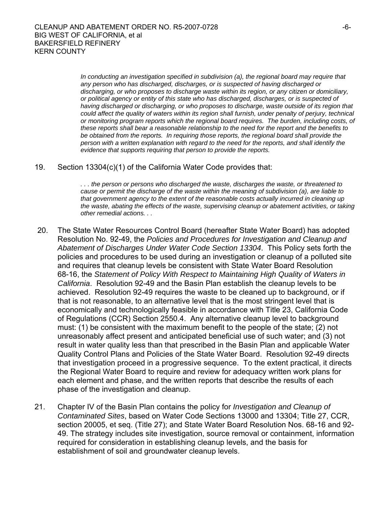*In conducting an investigation specified in subdivision (a), the regional board may require that any person who has discharged, discharges, or is suspected of having discharged or discharging, or who proposes to discharge waste within its region, or any citizen or domiciliary, or political agency or entity of this state who has discharged, discharges, or is suspected of having discharged or discharging, or who proposes to discharge, waste outside of its region that could affect the quality of waters within its region shall furnish, under penalty of perjury, technical or monitoring program reports which the regional board requires. The burden, including costs, of these reports shall bear a reasonable relationship to the need for the report and the benefits to be obtained from the reports. In requiring those reports, the regional board shall provide the person with a written explanation with regard to the need for the reports, and shall identify the evidence that supports requiring that person to provide the reports.* 

19. Section 13304(c)(1) of the California Water Code provides that:

*. . . the person or persons who discharged the waste, discharges the waste, or threatened to cause or permit the discharge of the waste within the meaning of subdivision (a), are liable to that government agency to the extent of the reasonable costs actually incurred in cleaning up the waste, abating the effects of the waste, supervising cleanup or abatement activities, or taking other remedial actions. . .* 

- 20. The State Water Resources Control Board (hereafter State Water Board) has adopted Resolution No. 92-49, the *Policies and Procedures for Investigation and Cleanup and Abatement of Discharges Under Water Code Section 13304*. This Policy sets forth the policies and procedures to be used during an investigation or cleanup of a polluted site and requires that cleanup levels be consistent with State Water Board Resolution 68-16, the *Statement of Policy With Respect to Maintaining High Quality of Waters in California*. Resolution 92-49 and the Basin Plan establish the cleanup levels to be achieved. Resolution 92-49 requires the waste to be cleaned up to background, or if that is not reasonable, to an alternative level that is the most stringent level that is economically and technologically feasible in accordance with Title 23, California Code of Regulations (CCR) Section 2550.4. Any alternative cleanup level to background must: (1) be consistent with the maximum benefit to the people of the state; (2) not unreasonably affect present and anticipated beneficial use of such water; and (3) not result in water quality less than that prescribed in the Basin Plan and applicable Water Quality Control Plans and Policies of the State Water Board. Resolution 92-49 directs that investigation proceed in a progressive sequence. To the extent practical, it directs the Regional Water Board to require and review for adequacy written work plans for each element and phase, and the written reports that describe the results of each phase of the investigation and cleanup.
- 21. Chapter IV of the Basin Plan contains the policy for *Investigation and Cleanup of Contaminated Sites*, based on Water Code Sections 13000 and 13304; Title 27, CCR, section 20005, et seq. (Title 27); and State Water Board Resolution Nos. 68-16 and 92- 49. The strategy includes site investigation, source removal or containment, information required for consideration in establishing cleanup levels, and the basis for establishment of soil and groundwater cleanup levels.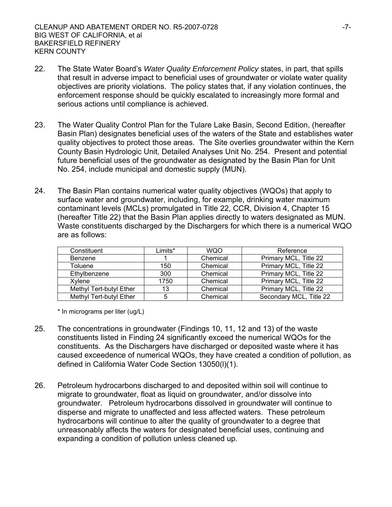- 22. The State Water Board's *Water Quality Enforcement Policy* states, in part, that spills that result in adverse impact to beneficial uses of groundwater or violate water quality objectives are priority violations. The policy states that, if any violation continues, the enforcement response should be quickly escalated to increasingly more formal and serious actions until compliance is achieved.
- 23. The Water Quality Control Plan for the Tulare Lake Basin, Second Edition, (hereafter Basin Plan) designates beneficial uses of the waters of the State and establishes water quality objectives to protect those areas. The Site overlies groundwater within the Kern County Basin Hydrologic Unit, Detailed Analyses Unit No. 254. Present and potential future beneficial uses of the groundwater as designated by the Basin Plan for Unit No. 254, include municipal and domestic supply (MUN).
- 24. The Basin Plan contains numerical water quality objectives (WQOs) that apply to surface water and groundwater, including, for example, drinking water maximum contaminant levels (MCLs) promulgated in Title 22, CCR, Division 4, Chapter 15 (hereafter Title 22) that the Basin Plan applies directly to waters designated as MUN. Waste constituents discharged by the Dischargers for which there is a numerical WQO are as follows:

| Constituent             | Limits* | <b>WQO</b> | Reference               |
|-------------------------|---------|------------|-------------------------|
| <b>Benzene</b>          |         | Chemical   | Primary MCL, Title 22   |
| Toluene                 | 150     | Chemical   | Primary MCL, Title 22   |
| Ethylbenzene            | 300     | Chemical   | Primary MCL, Title 22   |
| Xvlene                  | 1750    | Chemical   | Primary MCL, Title 22   |
| Methyl Tert-butyl Ether | 13      | Chemical   | Primary MCL, Title 22   |
| Methyl Tert-butyl Ether | 5       | Chemical   | Secondary MCL, Title 22 |

\* In micrograms per liter (ug/L)

- 25. The concentrations in groundwater (Findings 10, 11, 12 and 13) of the waste constituents listed in Finding 24 significantly exceed the numerical WQOs for the constituents. As the Dischargers have discharged or deposited waste where it has caused exceedence of numerical WQOs, they have created a condition of pollution, as defined in California Water Code Section 13050(l)(1).
- 26. Petroleum hydrocarbons discharged to and deposited within soil will continue to migrate to groundwater, float as liquid on groundwater, and/or dissolve into groundwater. Petroleum hydrocarbons dissolved in groundwater will continue to disperse and migrate to unaffected and less affected waters. These petroleum hydrocarbons will continue to alter the quality of groundwater to a degree that unreasonably affects the waters for designated beneficial uses, continuing and expanding a condition of pollution unless cleaned up.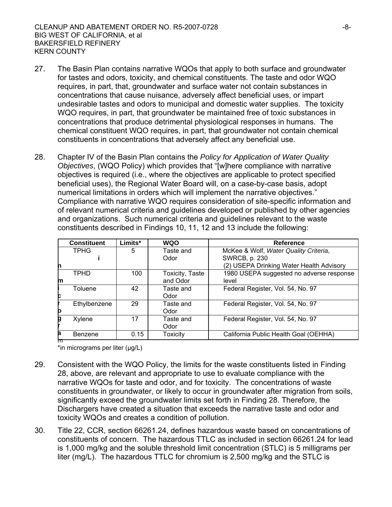- 27. The Basin Plan contains narrative WQOs that apply to both surface and groundwater for tastes and odors, toxicity, and chemical constituents. The taste and odor WQO requires, in part, that, groundwater and surface water not contain substances in concentrations that cause nuisance, adversely affect beneficial uses, or impart undesirable tastes and odors to municipal and domestic water supplies. The toxicity WQO requires, in part, that groundwater be maintained free of toxic substances in concentrations that produce detrimental physiological responses in humans. The chemical constituent WQO requires, in part, that groundwater not contain chemical constituents in concentrations that adversely affect any beneficial use.
- 28. Chapter IV of the Basin Plan contains the *Policy for Application of Water Quality Objectives*, (WQO Policy) which provides that "[w]here compliance with narrative objectives is required (i.e., where the objectives are applicable to protect specified beneficial uses), the Regional Water Board will, on a case-by-case basis, adopt numerical limitations in orders which will implement the narrative objectives." Compliance with narrative WQO requires consideration of site-specific information and of relevant numerical criteria and guidelines developed or published by other agencies and organizations. Such numerical criteria and guidelines relevant to the waste constituents described in Findings 10, 11, 12 and 13 include the following:

|   | <b>Constituent</b> | Limits* | <b>WQO</b>      | Reference                                |
|---|--------------------|---------|-----------------|------------------------------------------|
|   | <b>TPHG</b>        | 5       | Taste and       | McKee & Wolf, Water Quality Criteria,    |
|   |                    |         | Odor            | SWRCB, p. 230                            |
| n |                    |         |                 | (2) USEPA Drinking Water Health Advisory |
|   | TPHD               | 100     | Toxicity, Taste | 1980 USEPA suggested no adverse response |
| m |                    |         | and Odor        | level                                    |
|   | Toluene            | 42      | Taste and       | Federal Register, Vol. 54, No. 97        |
| c |                    |         | Odor            |                                          |
|   | Ethylbenzene       | 29      | Taste and       | Federal Register, Vol. 54, No. 97        |
| b |                    |         | Odor            |                                          |
| g | Xylene             | 17      | Taste and       | Federal Register, Vol. 54, No. 97        |
|   |                    |         | Odor            |                                          |
| a | Benzene            | 0.15    | <b>Toxicity</b> | California Public Health Goal (OEHHA)    |
| m |                    |         |                 |                                          |

\*in micrograms per liter (μg/L)

- 29. Consistent with the WQO Policy, the limits for the waste constituents listed in Finding 28, above, are relevant and appropriate to use to evaluate compliance with the narrative WQOs for taste and odor, and for toxicity. The concentrations of waste constituents in groundwater, or likely to occur in groundwater after migration from soils, significantly exceed the groundwater limits set forth in Finding 28. Therefore, the Dischargers have created a situation that exceeds the narrative taste and odor and toxicity WQOs and creates a condition of pollution.
- 30. Title 22, CCR, section 66261.24, defines hazardous waste based on concentrations of constituents of concern. The hazardous TTLC as included in section 66261.24 for lead is 1,000 mg/kg and the soluble threshold limit concentration (STLC) is 5 milligrams per liter (mg/L). The hazardous TTLC for chromium is 2,500 mg/kg and the STLC is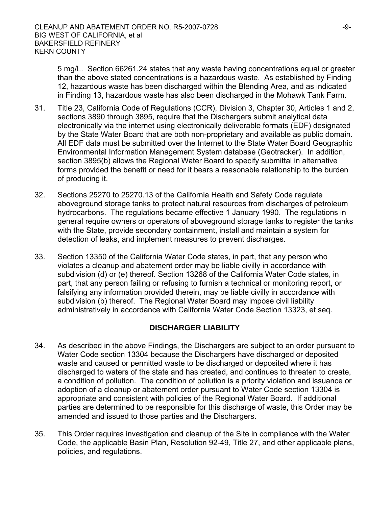5 mg/L. Section 66261.24 states that any waste having concentrations equal or greater than the above stated concentrations is a hazardous waste. As established by Finding 12, hazardous waste has been discharged within the Blending Area, and as indicated in Finding 13, hazardous waste has also been discharged in the Mohawk Tank Farm.

- 31. Title 23, California Code of Regulations (CCR), Division 3, Chapter 30, Articles 1 and 2, sections 3890 through 3895, require that the Dischargers submit analytical data electronically via the internet using electronically deliverable formats (EDF) designated by the State Water Board that are both non-proprietary and available as public domain. All EDF data must be submitted over the Internet to the State Water Board Geographic Environmental Information Management System database (Geotracker). In addition, section 3895(b) allows the Regional Water Board to specify submittal in alternative forms provided the benefit or need for it bears a reasonable relationship to the burden of producing it.
- 32. Sections 25270 to 25270.13 of the California Health and Safety Code regulate aboveground storage tanks to protect natural resources from discharges of petroleum hydrocarbons. The regulations became effective 1 January 1990. The regulations in general require owners or operators of aboveground storage tanks to register the tanks with the State, provide secondary containment, install and maintain a system for detection of leaks, and implement measures to prevent discharges.
- 33. Section 13350 of the California Water Code states, in part, that any person who violates a cleanup and abatement order may be liable civilly in accordance with subdivision (d) or (e) thereof. Section 13268 of the California Water Code states, in part, that any person failing or refusing to furnish a technical or monitoring report, or falsifying any information provided therein, may be liable civilly in accordance with subdivision (b) thereof. The Regional Water Board may impose civil liability administratively in accordance with California Water Code Section 13323, et seq.

### **DISCHARGER LIABILITY**

- 34. As described in the above Findings, the Dischargers are subject to an order pursuant to Water Code section 13304 because the Dischargers have discharged or deposited waste and caused or permitted waste to be discharged or deposited where it has discharged to waters of the state and has created, and continues to threaten to create, a condition of pollution. The condition of pollution is a priority violation and issuance or adoption of a cleanup or abatement order pursuant to Water Code section 13304 is appropriate and consistent with policies of the Regional Water Board. If additional parties are determined to be responsible for this discharge of waste, this Order may be amended and issued to those parties and the Dischargers.
- 35. This Order requires investigation and cleanup of the Site in compliance with the Water Code, the applicable Basin Plan, Resolution 92-49, Title 27, and other applicable plans, policies, and regulations.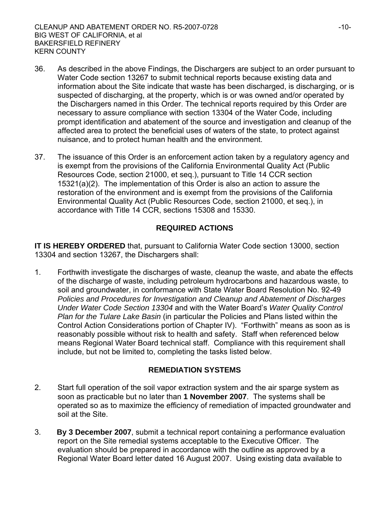- 36. As described in the above Findings, the Dischargers are subject to an order pursuant to Water Code section 13267 to submit technical reports because existing data and information about the Site indicate that waste has been discharged, is discharging, or is suspected of discharging, at the property, which is or was owned and/or operated by the Dischargers named in this Order. The technical reports required by this Order are necessary to assure compliance with section 13304 of the Water Code, including prompt identification and abatement of the source and investigation and cleanup of the affected area to protect the beneficial uses of waters of the state, to protect against nuisance, and to protect human health and the environment.
- 37. The issuance of this Order is an enforcement action taken by a regulatory agency and is exempt from the provisions of the California Environmental Quality Act (Public Resources Code, section 21000, et seq.), pursuant to Title 14 CCR section 15321(a)(2). The implementation of this Order is also an action to assure the restoration of the environment and is exempt from the provisions of the California Environmental Quality Act (Public Resources Code, section 21000, et seq.), in accordance with Title 14 CCR, sections 15308 and 15330.

## **REQUIRED ACTIONS**

**IT IS HEREBY ORDERED** that, pursuant to California Water Code section 13000, section 13304 and section 13267, the Dischargers shall:

1. Forthwith investigate the discharges of waste, cleanup the waste, and abate the effects of the discharge of waste, including petroleum hydrocarbons and hazardous waste, to soil and groundwater, in conformance with State Water Board Resolution No. 92-49 *Policies and Procedures for Investigation and Cleanup and Abatement of Discharges Under Water Code Section 13304* and with the Water Board's *Water Quality Control Plan for the Tulare Lake Basin* (in particular the Policies and Plans listed within the Control Action Considerations portion of Chapter IV). "Forthwith" means as soon as is reasonably possible without risk to health and safety. Staff when referenced below means Regional Water Board technical staff. Compliance with this requirement shall include, but not be limited to, completing the tasks listed below.

### **REMEDIATION SYSTEMS**

- 2. Start full operation of the soil vapor extraction system and the air sparge system as soon as practicable but no later than **1 November 2007**. The systems shall be operated so as to maximize the efficiency of remediation of impacted groundwater and soil at the Site.
- 3. **By 3 December 2007**, submit a technical report containing a performance evaluation report on the Site remedial systems acceptable to the Executive Officer. The evaluation should be prepared in accordance with the outline as approved by a Regional Water Board letter dated 16 August 2007. Using existing data available to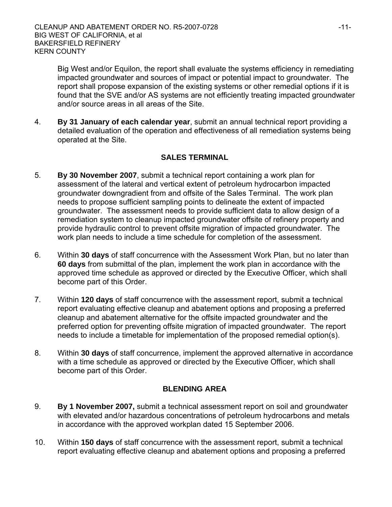Big West and/or Equilon, the report shall evaluate the systems efficiency in remediating impacted groundwater and sources of impact or potential impact to groundwater. The report shall propose expansion of the existing systems or other remedial options if it is found that the SVE and/or AS systems are not efficiently treating impacted groundwater and/or source areas in all areas of the Site.

4. **By 31 January of each calendar year**, submit an annual technical report providing a detailed evaluation of the operation and effectiveness of all remediation systems being operated at the Site.

## **SALES TERMINAL**

- 5. **By 30 November 2007**, submit a technical report containing a work plan for assessment of the lateral and vertical extent of petroleum hydrocarbon impacted groundwater downgradient from and offsite of the Sales Terminal. The work plan needs to propose sufficient sampling points to delineate the extent of impacted groundwater. The assessment needs to provide sufficient data to allow design of a remediation system to cleanup impacted groundwater offsite of refinery property and provide hydraulic control to prevent offsite migration of impacted groundwater. The work plan needs to include a time schedule for completion of the assessment.
- 6. Within **30 days** of staff concurrence with the Assessment Work Plan, but no later than **60 days** from submittal of the plan, implement the work plan in accordance with the approved time schedule as approved or directed by the Executive Officer, which shall become part of this Order.
- 7. Within **120 days** of staff concurrence with the assessment report, submit a technical report evaluating effective cleanup and abatement options and proposing a preferred cleanup and abatement alternative for the offsite impacted groundwater and the preferred option for preventing offsite migration of impacted groundwater. The report needs to include a timetable for implementation of the proposed remedial option(s).
- 8. Within **30 days** of staff concurrence, implement the approved alternative in accordance with a time schedule as approved or directed by the Executive Officer, which shall become part of this Order.

### **BLENDING AREA**

- 9. **By 1 November 2007,** submit a technical assessment report on soil and groundwater with elevated and/or hazardous concentrations of petroleum hydrocarbons and metals in accordance with the approved workplan dated 15 September 2006.
- 10. Within **150 days** of staff concurrence with the assessment report, submit a technical report evaluating effective cleanup and abatement options and proposing a preferred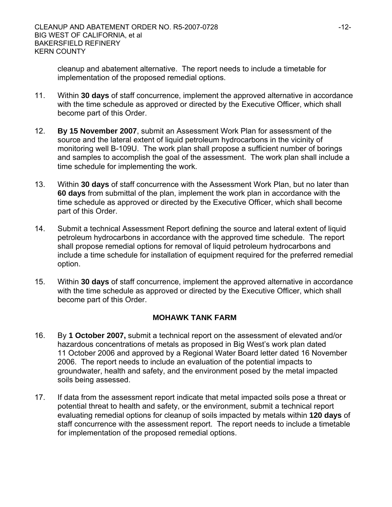cleanup and abatement alternative. The report needs to include a timetable for implementation of the proposed remedial options.

- 11. Within **30 days** of staff concurrence, implement the approved alternative in accordance with the time schedule as approved or directed by the Executive Officer, which shall become part of this Order.
- 12. **By 15 November 2007**, submit an Assessment Work Plan for assessment of the source and the lateral extent of liquid petroleum hydrocarbons in the vicinity of monitoring well B-109U. The work plan shall propose a sufficient number of borings and samples to accomplish the goal of the assessment. The work plan shall include a time schedule for implementing the work.
- 13. Within **30 days** of staff concurrence with the Assessment Work Plan, but no later than **60 days** from submittal of the plan, implement the work plan in accordance with the time schedule as approved or directed by the Executive Officer, which shall become part of this Order.
- 14. Submit a technical Assessment Report defining the source and lateral extent of liquid petroleum hydrocarbons in accordance with the approved time schedule. The report shall propose remedial options for removal of liquid petroleum hydrocarbons and include a time schedule for installation of equipment required for the preferred remedial option.
- 15. Within **30 days** of staff concurrence, implement the approved alternative in accordance with the time schedule as approved or directed by the Executive Officer, which shall become part of this Order.

### **MOHAWK TANK FARM**

- 16. By **1 October 2007,** submit a technical report on the assessment of elevated and/or hazardous concentrations of metals as proposed in Big West's work plan dated 11 October 2006 and approved by a Regional Water Board letter dated 16 November 2006.The report needs to include an evaluation of the potential impacts to groundwater, health and safety, and the environment posed by the metal impacted soils being assessed.
- 17. If data from the assessment report indicate that metal impacted soils pose a threat or potential threat to health and safety, or the environment, submit a technical report evaluating remedial options for cleanup of soils impacted by metals within **120 days** of staff concurrence with the assessment report. The report needs to include a timetable for implementation of the proposed remedial options.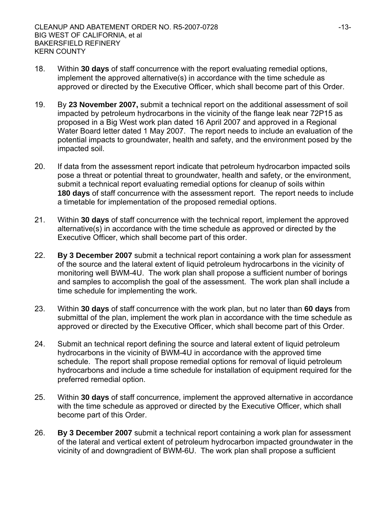- 18. Within **30 days** of staff concurrence with the report evaluating remedial options, implement the approved alternative(s) in accordance with the time schedule as approved or directed by the Executive Officer, which shall become part of this Order.
- 19. By **23 November 2007,** submit a technical report on the additional assessment of soil impacted by petroleum hydrocarbons in the vicinity of the flange leak near 72P15 as proposed in a Big West work plan dated 16 April 2007 and approved in a Regional Water Board letter dated 1 May 2007. The report needs to include an evaluation of the potential impacts to groundwater, health and safety, and the environment posed by the impacted soil.
- 20. If data from the assessment report indicate that petroleum hydrocarbon impacted soils pose a threat or potential threat to groundwater, health and safety, or the environment, submit a technical report evaluating remedial options for cleanup of soils within **180 days** of staff concurrence with the assessment report. The report needs to include a timetable for implementation of the proposed remedial options.
- 21. Within **30 days** of staff concurrence with the technical report, implement the approved alternative(s) in accordance with the time schedule as approved or directed by the Executive Officer, which shall become part of this order.
- 22. **By 3 December 2007** submit a technical report containing a work plan for assessment of the source and the lateral extent of liquid petroleum hydrocarbons in the vicinity of monitoring well BWM-4U. The work plan shall propose a sufficient number of borings and samples to accomplish the goal of the assessment. The work plan shall include a time schedule for implementing the work.
- 23. Within **30 days** of staff concurrence with the work plan, but no later than **60 days** from submittal of the plan, implement the work plan in accordance with the time schedule as approved or directed by the Executive Officer, which shall become part of this Order.
- 24. Submit an technical report defining the source and lateral extent of liquid petroleum hydrocarbons in the vicinity of BWM-4U in accordance with the approved time schedule. The report shall propose remedial options for removal of liquid petroleum hydrocarbons and include a time schedule for installation of equipment required for the preferred remedial option.
- 25. Within **30 days** of staff concurrence, implement the approved alternative in accordance with the time schedule as approved or directed by the Executive Officer, which shall become part of this Order.
- 26. **By 3 December 2007** submit a technical report containing a work plan for assessment of the lateral and vertical extent of petroleum hydrocarbon impacted groundwater in the vicinity of and downgradient of BWM-6U. The work plan shall propose a sufficient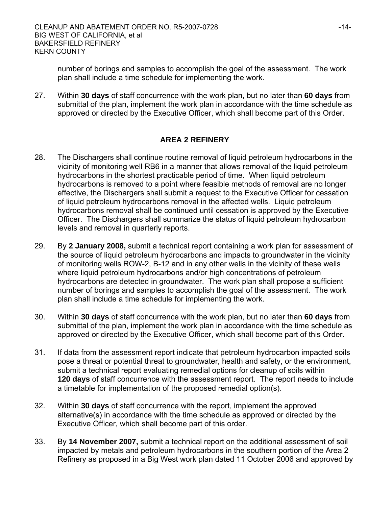number of borings and samples to accomplish the goal of the assessment. The work plan shall include a time schedule for implementing the work.

27. Within **30 days** of staff concurrence with the work plan, but no later than **60 days** from submittal of the plan, implement the work plan in accordance with the time schedule as approved or directed by the Executive Officer, which shall become part of this Order.

### **AREA 2 REFINERY**

- 28. The Dischargers shall continue routine removal of liquid petroleum hydrocarbons in the vicinity of monitoring well RB6 in a manner that allows removal of the liquid petroleum hydrocarbons in the shortest practicable period of time. When liquid petroleum hydrocarbons is removed to a point where feasible methods of removal are no longer effective, the Dischargers shall submit a request to the Executive Officer for cessation of liquid petroleum hydrocarbons removal in the affected wells. Liquid petroleum hydrocarbons removal shall be continued until cessation is approved by the Executive Officer. The Dischargers shall summarize the status of liquid petroleum hydrocarbon levels and removal in quarterly reports.
- 29. By **2 January 2008,** submit a technical report containing a work plan for assessment of the source of liquid petroleum hydrocarbons and impacts to groundwater in the vicinity of monitoring wells ROW-2, B-12 and in any other wells in the vicinity of these wells where liquid petroleum hydrocarbons and/or high concentrations of petroleum hydrocarbons are detected in groundwater. The work plan shall propose a sufficient number of borings and samples to accomplish the goal of the assessment. The work plan shall include a time schedule for implementing the work.
- 30. Within **30 days** of staff concurrence with the work plan, but no later than **60 days** from submittal of the plan, implement the work plan in accordance with the time schedule as approved or directed by the Executive Officer, which shall become part of this Order.
- 31. If data from the assessment report indicate that petroleum hydrocarbon impacted soils pose a threat or potential threat to groundwater, health and safety, or the environment, submit a technical report evaluating remedial options for cleanup of soils within **120 days** of staff concurrence with the assessment report. The report needs to include a timetable for implementation of the proposed remedial option(s).
- 32. Within **30 days** of staff concurrence with the report, implement the approved alternative(s) in accordance with the time schedule as approved or directed by the Executive Officer, which shall become part of this order.
- 33. By **14 November 2007,** submit a technical report on the additional assessment of soil impacted by metals and petroleum hydrocarbons in the southern portion of the Area 2 Refinery as proposed in a Big West work plan dated 11 October 2006 and approved by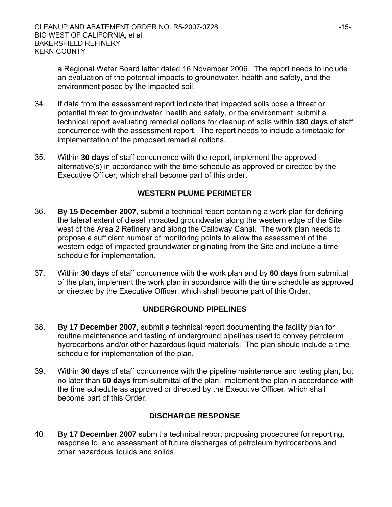a Regional Water Board letter dated 16 November 2006. The report needs to include an evaluation of the potential impacts to groundwater, health and safety, and the environment posed by the impacted soil.

- 34. If data from the assessment report indicate that impacted soils pose a threat or potential threat to groundwater, health and safety, or the environment, submit a technical report evaluating remedial options for cleanup of soils within **180 days** of staff concurrence with the assessment report. The report needs to include a timetable for implementation of the proposed remedial options.
- 35. Within **30 days** of staff concurrence with the report, implement the approved alternative(s) in accordance with the time schedule as approved or directed by the Executive Officer, which shall become part of this order.

### **WESTERN PLUME PERIMETER**

- 36. **By 15 December 2007,** submit a technical report containing a work plan for defining the lateral extent of diesel impacted groundwater along the western edge of the Site west of the Area 2 Refinery and along the Calloway Canal. The work plan needs to propose a sufficient number of monitoring points to allow the assessment of the western edge of impacted groundwater originating from the Site and include a time schedule for implementation.
- 37. Within **30 days** of staff concurrence with the work plan and by **60 days** from submittal of the plan, implement the work plan in accordance with the time schedule as approved or directed by the Executive Officer, which shall become part of this Order.

## **UNDERGROUND PIPELINES**

- 38. **By 17 December 2007**, submit a technical report documenting the facility plan for routine maintenance and testing of underground pipelines used to convey petroleum hydrocarbons and/or other hazardous liquid materials. The plan should include a time schedule for implementation of the plan.
- 39. Within **30 days** of staff concurrence with the pipeline maintenance and testing plan, but no later than **60 days** from submittal of the plan, implement the plan in accordance with the time schedule as approved or directed by the Executive Officer, which shall become part of this Order.

## **DISCHARGE RESPONSE**

40. **By 17 December 2007** submit a technical report proposing procedures for reporting, response to, and assessment of future discharges of petroleum hydrocarbons and other hazardous liquids and solids.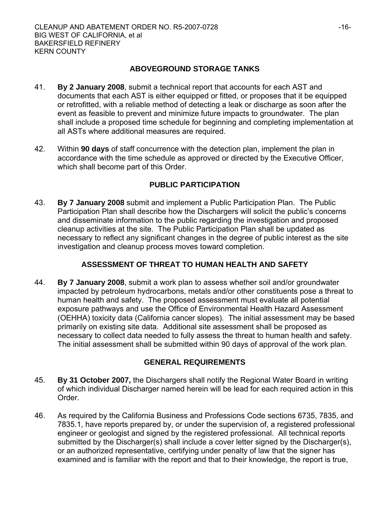### **ABOVEGROUND STORAGE TANKS**

- 41. **By 2 January 2008**, submit a technical report that accounts for each AST and documents that each AST is either equipped or fitted, or proposes that it be equipped or retrofitted, with a reliable method of detecting a leak or discharge as soon after the event as feasible to prevent and minimize future impacts to groundwater. The plan shall include a proposed time schedule for beginning and completing implementation at all ASTs where additional measures are required.
- 42. Within **90 days** of staff concurrence with the detection plan, implement the plan in accordance with the time schedule as approved or directed by the Executive Officer, which shall become part of this Order.

### **PUBLIC PARTICIPATION**

43. **By 7 January 2008** submit and implement a Public Participation Plan. The Public Participation Plan shall describe how the Dischargers will solicit the public's concerns and disseminate information to the public regarding the investigation and proposed cleanup activities at the site. The Public Participation Plan shall be updated as necessary to reflect any significant changes in the degree of public interest as the site investigation and cleanup process moves toward completion.

### **ASSESSMENT OF THREAT TO HUMAN HEALTH AND SAFETY**

44. **By 7 January 2008**, submit a work plan to assess whether soil and/or groundwater impacted by petroleum hydrocarbons, metals and/or other constituents pose a threat to human health and safety. The proposed assessment must evaluate all potential exposure pathways and use the Office of Environmental Health Hazard Assessment (OEHHA) toxicity data (California cancer slopes). The initial assessment may be based primarily on existing site data. Additional site assessment shall be proposed as necessary to collect data needed to fully assess the threat to human health and safety. The initial assessment shall be submitted within 90 days of approval of the work plan.

## **GENERAL REQUIREMENTS**

- 45. **By 31 October 2007,** the Dischargers shall notify the Regional Water Board in writing of which individual Discharger named herein will be lead for each required action in this Order.
- 46. As required by the California Business and Professions Code sections 6735, 7835, and 7835.1, have reports prepared by, or under the supervision of, a registered professional engineer or geologist and signed by the registered professional. All technical reports submitted by the Discharger(s) shall include a cover letter signed by the Discharger(s), or an authorized representative, certifying under penalty of law that the signer has examined and is familiar with the report and that to their knowledge, the report is true,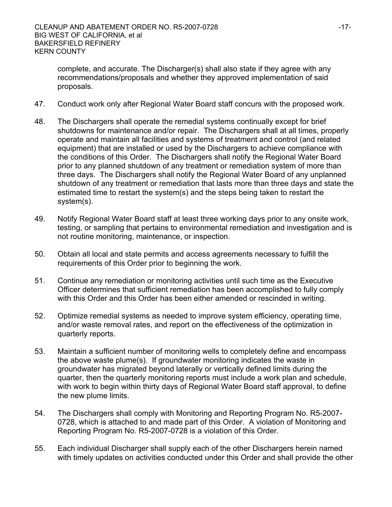complete, and accurate. The Discharger(s) shall also state if they agree with any recommendations/proposals and whether they approved implementation of said proposals.

- 47. Conduct work only after Regional Water Board staff concurs with the proposed work.
- 48. The Dischargers shall operate the remedial systems continually except for brief shutdowns for maintenance and/or repair. The Dischargers shall at all times, properly operate and maintain all facilities and systems of treatment and control (and related equipment) that are installed or used by the Dischargers to achieve compliance with the conditions of this Order. The Dischargers shall notify the Regional Water Board prior to any planned shutdown of any treatment or remediation system of more than three days. The Dischargers shall notify the Regional Water Board of any unplanned shutdown of any treatment or remediation that lasts more than three days and state the estimated time to restart the system(s) and the steps being taken to restart the system(s).
- 49. Notify Regional Water Board staff at least three working days prior to any onsite work, testing, or sampling that pertains to environmental remediation and investigation and is not routine monitoring, maintenance, or inspection.
- 50. Obtain all local and state permits and access agreements necessary to fulfill the requirements of this Order prior to beginning the work.
- 51. Continue any remediation or monitoring activities until such time as the Executive Officer determines that sufficient remediation has been accomplished to fully comply with this Order and this Order has been either amended or rescinded in writing.
- 52. Optimize remedial systems as needed to improve system efficiency, operating time, and/or waste removal rates, and report on the effectiveness of the optimization in quarterly reports.
- 53. Maintain a sufficient number of monitoring wells to completely define and encompass the above waste plume(s). If groundwater monitoring indicates the waste in groundwater has migrated beyond laterally or vertically defined limits during the quarter, then the quarterly monitoring reports must include a work plan and schedule, with work to begin within thirty days of Regional Water Board staff approval, to define the new plume limits.
- 54. The Dischargers shall comply with Monitoring and Reporting Program No. R5-2007- 0728, which is attached to and made part of this Order. A violation of Monitoring and Reporting Program No. R5-2007-0728 is a violation of this Order.
- 55. Each individual Discharger shall supply each of the other Dischargers herein named with timely updates on activities conducted under this Order and shall provide the other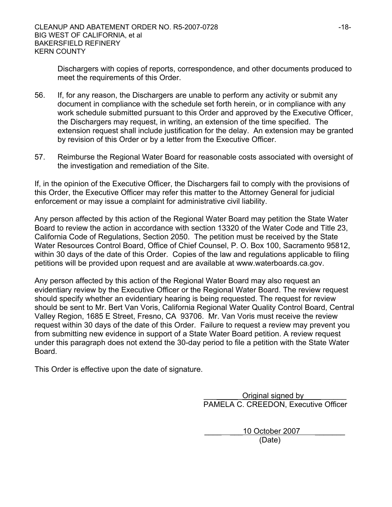Dischargers with copies of reports, correspondence, and other documents produced to meet the requirements of this Order.

- 56. If, for any reason, the Dischargers are unable to perform any activity or submit any document in compliance with the schedule set forth herein, or in compliance with any work schedule submitted pursuant to this Order and approved by the Executive Officer, the Dischargers may request, in writing, an extension of the time specified. The extension request shall include justification for the delay. An extension may be granted by revision of this Order or by a letter from the Executive Officer.
- 57. Reimburse the Regional Water Board for reasonable costs associated with oversight of the investigation and remediation of the Site.

If, in the opinion of the Executive Officer, the Dischargers fail to comply with the provisions of this Order, the Executive Officer may refer this matter to the Attorney General for judicial enforcement or may issue a complaint for administrative civil liability.

Any person affected by this action of the Regional Water Board may petition the State Water Board to review the action in accordance with section 13320 of the Water Code and Title 23, California Code of Regulations, Section 2050. The petition must be received by the State Water Resources Control Board, Office of Chief Counsel, P. O. Box 100, Sacramento 95812, within 30 days of the date of this Order. Copies of the law and regulations applicable to filing petitions will be provided upon request and are available at www.waterboards.ca.gov.

Any person affected by this action of the Regional Water Board may also request an evidentiary review by the Executive Officer or the Regional Water Board. The review request should specify whether an evidentiary hearing is being requested. The request for review should be sent to Mr. Bert Van Voris, California Regional Water Quality Control Board, Central Valley Region, 1685 E Street, Fresno, CA 93706.Mr. Van Voris must receive the review request within 30 days of the date of this Order. Failure to request a review may prevent you from submitting new evidence in support of a State Water Board petition. A review request under this paragraph does not extend the 30-day period to file a petition with the State Water Board.

This Order is effective upon the date of signature.

Original signed by PAMELA C. CREEDON, Executive Officer

10 October 2007 (Date)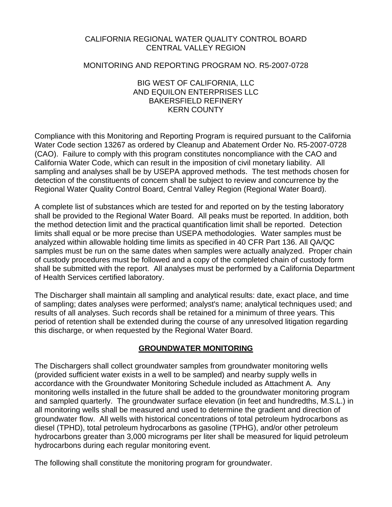### CALIFORNIA REGIONAL WATER QUALITY CONTROL BOARD CENTRAL VALLEY REGION

#### MONITORING AND REPORTING PROGRAM NO. R5-2007-0728

#### BIG WEST OF CALIFORNIA, LLC AND EQUILON ENTERPRISES LLC BAKERSFIELD REFINERY KERN COUNTY

Compliance with this Monitoring and Reporting Program is required pursuant to the California Water Code section 13267 as ordered by Cleanup and Abatement Order No. R5-2007-0728 (CAO). Failure to comply with this program constitutes noncompliance with the CAO and California Water Code, which can result in the imposition of civil monetary liability. All sampling and analyses shall be by USEPA approved methods. The test methods chosen for detection of the constituents of concern shall be subject to review and concurrence by the Regional Water Quality Control Board, Central Valley Region (Regional Water Board).

A complete list of substances which are tested for and reported on by the testing laboratory shall be provided to the Regional Water Board. All peaks must be reported. In addition, both the method detection limit and the practical quantification limit shall be reported. Detection limits shall equal or be more precise than USEPA methodologies. Water samples must be analyzed within allowable holding time limits as specified in 40 CFR Part 136. All QA/QC samples must be run on the same dates when samples were actually analyzed. Proper chain of custody procedures must be followed and a copy of the completed chain of custody form shall be submitted with the report. All analyses must be performed by a California Department of Health Services certified laboratory.

The Discharger shall maintain all sampling and analytical results: date, exact place, and time of sampling; dates analyses were performed; analyst's name; analytical techniques used; and results of all analyses. Such records shall be retained for a minimum of three years. This period of retention shall be extended during the course of any unresolved litigation regarding this discharge, or when requested by the Regional Water Board.

### **GROUNDWATER MONITORING**

The Dischargers shall collect groundwater samples from groundwater monitoring wells (provided sufficient water exists in a well to be sampled) and nearby supply wells in accordance with the Groundwater Monitoring Schedule included as Attachment A. Any monitoring wells installed in the future shall be added to the groundwater monitoring program and sampled quarterly. The groundwater surface elevation (in feet and hundredths, M.S.L.) in all monitoring wells shall be measured and used to determine the gradient and direction of groundwater flow. All wells with historical concentrations of total petroleum hydrocarbons as diesel (TPHD), total petroleum hydrocarbons as gasoline (TPHG), and/or other petroleum hydrocarbons greater than 3,000 micrograms per liter shall be measured for liquid petroleum hydrocarbons during each regular monitoring event.

The following shall constitute the monitoring program for groundwater.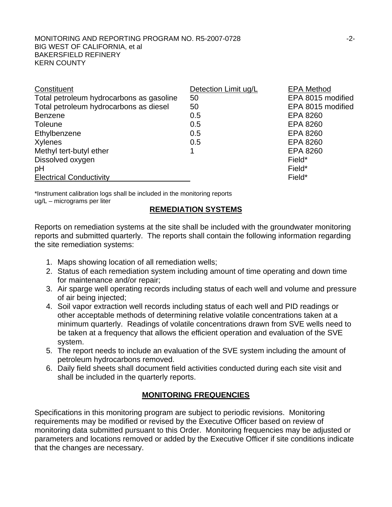| Constituent                              | Detection Limit ug/L | <b>EPA Method</b> |
|------------------------------------------|----------------------|-------------------|
| Total petroleum hydrocarbons as gasoline | 50                   | EPA 8015 modified |
| Total petroleum hydrocarbons as diesel   | 50                   | EPA 8015 modified |
| <b>Benzene</b>                           | 0.5                  | EPA 8260          |
| <b>Toleune</b>                           | 0.5                  | EPA 8260          |
| Ethylbenzene                             | 0.5                  | EPA 8260          |
| Xylenes                                  | 0.5                  | EPA 8260          |
| Methyl tert-butyl ether                  |                      | EPA 8260          |
| Dissolved oxygen                         |                      | Field*            |
| pH                                       |                      | Field*            |
| <b>Electrical Conductivity</b>           |                      | Field*            |

\*Instrument calibration logs shall be included in the monitoring reports ug/L – micrograms per liter

#### **REMEDIATION SYSTEMS**

Reports on remediation systems at the site shall be included with the groundwater monitoring reports and submitted quarterly. The reports shall contain the following information regarding the site remediation systems:

- 1. Maps showing location of all remediation wells;
- 2. Status of each remediation system including amount of time operating and down time for maintenance and/or repair;
- 3. Air sparge well operating records including status of each well and volume and pressure of air being injected;
- 4. Soil vapor extraction well records including status of each well and PID readings or other acceptable methods of determining relative volatile concentrations taken at a minimum quarterly. Readings of volatile concentrations drawn from SVE wells need to be taken at a frequency that allows the efficient operation and evaluation of the SVE system.
- 5. The report needs to include an evaluation of the SVE system including the amount of petroleum hydrocarbons removed.
- 6. Daily field sheets shall document field activities conducted during each site visit and shall be included in the quarterly reports.

## **MONITORING FREQUENCIES**

Specifications in this monitoring program are subject to periodic revisions. Monitoring requirements may be modified or revised by the Executive Officer based on review of monitoring data submitted pursuant to this Order. Monitoring frequencies may be adjusted or parameters and locations removed or added by the Executive Officer if site conditions indicate that the changes are necessary.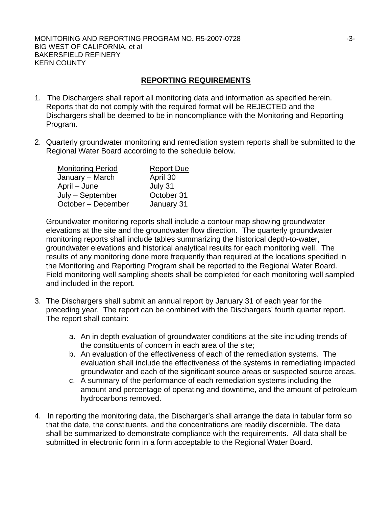### **REPORTING REQUIREMENTS**

- 1. The Dischargers shall report all monitoring data and information as specified herein. Reports that do not comply with the required format will be REJECTED and the Dischargers shall be deemed to be in noncompliance with the Monitoring and Reporting Program.
- 2. Quarterly groundwater monitoring and remediation system reports shall be submitted to the Regional Water Board according to the schedule below.

| <b>Monitoring Period</b> | <b>Report Due</b> |
|--------------------------|-------------------|
| January – March          | April 30          |
| April – June             | July 31           |
| July – September         | October 31        |
| October - December       | January 31        |

Groundwater monitoring reports shall include a contour map showing groundwater elevations at the site and the groundwater flow direction. The quarterly groundwater monitoring reports shall include tables summarizing the historical depth-to-water, groundwater elevations and historical analytical results for each monitoring well. The results of any monitoring done more frequently than required at the locations specified in the Monitoring and Reporting Program shall be reported to the Regional Water Board. Field monitoring well sampling sheets shall be completed for each monitoring well sampled and included in the report.

- 3. The Dischargers shall submit an annual report by January 31 of each year for the preceding year. The report can be combined with the Dischargers' fourth quarter report. The report shall contain:
	- a. An in depth evaluation of groundwater conditions at the site including trends of the constituents of concern in each area of the site;
	- b. An evaluation of the effectiveness of each of the remediation systems. The evaluation shall include the effectiveness of the systems in remediating impacted groundwater and each of the significant source areas or suspected source areas.
	- c. A summary of the performance of each remediation systems including the amount and percentage of operating and downtime, and the amount of petroleum hydrocarbons removed.
- 4. In reporting the monitoring data, the Discharger's shall arrange the data in tabular form so that the date, the constituents, and the concentrations are readily discernible. The data shall be summarized to demonstrate compliance with the requirements. All data shall be submitted in electronic form in a form acceptable to the Regional Water Board.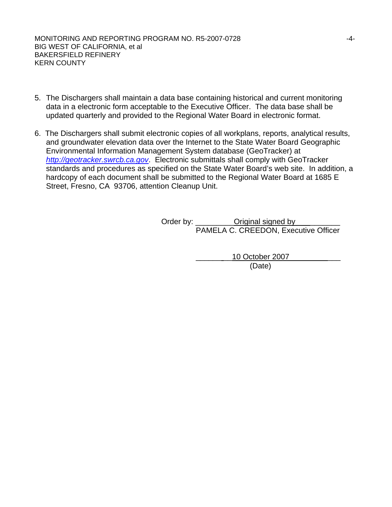- 5. The Dischargers shall maintain a data base containing historical and current monitoring data in a electronic form acceptable to the Executive Officer. The data base shall be updated quarterly and provided to the Regional Water Board in electronic format.
- 6. The Dischargers shall submit electronic copies of all workplans, reports, analytical results, and groundwater elevation data over the Internet to the State Water Board Geographic Environmental Information Management System database (GeoTracker) at *[http://geotracker.swrcb.ca.gov](http://geotracker.swrcb.ca.gov/)*. Electronic submittals shall comply with GeoTracker standards and procedures as specified on the State Water Board's web site. In addition, a hardcopy of each document shall be submitted to the Regional Water Board at 1685 E Street, Fresno, CA 93706, attention Cleanup Unit.

Order by: \_\_\_\_\_\_\_\_\_\_\_Original signed by PAMELA C. CREEDON, Executive Officer

 \_\_\_\_\_\_ \_\_10 October 2007 \_\_\_ (Date)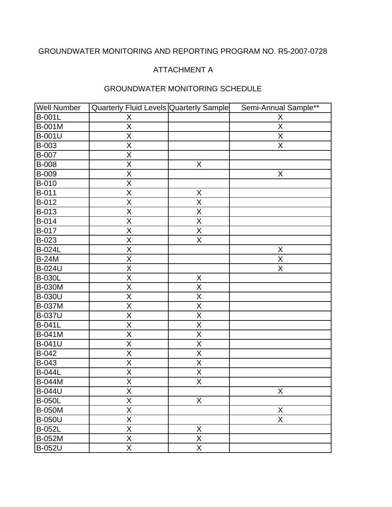# GROUNDWATER MONITORING AND REPORTING PROGRAM NO. R5-2007-0728

# ATTACHMENT A

| <b>Well Number</b> | Quarterly Fluid Levels Quarterly Sample |                         | Semi-Annual Sample**    |
|--------------------|-----------------------------------------|-------------------------|-------------------------|
| <b>B-001L</b>      | X                                       |                         | X                       |
| B-001M             | $\overline{X}$                          |                         | X                       |
| <b>B-001U</b>      | $\overline{\mathsf{X}}$                 |                         | X                       |
| B-003              | $\overline{X}$                          |                         | $\overline{X}$          |
| <b>B-007</b>       | $\overline{\mathsf{X}}$                 |                         |                         |
| B-008              | $\overline{X}$                          | X                       |                         |
| <b>B-009</b>       | $\mathsf X$                             |                         | X                       |
| B-010              | $\overline{X}$                          |                         |                         |
| <b>B-011</b>       | $\overline{\mathsf{X}}$                 | X                       |                         |
| B-012              | $\overline{X}$                          | $\overline{X}$          |                         |
| B-013              | $\overline{\mathsf{X}}$                 | $\overline{\mathsf{X}}$ |                         |
| B-014              | $\overline{\mathsf{X}}$                 | $\overline{X}$          |                         |
| B-017              | $\mathsf X$                             | X                       |                         |
| B-023              | $\overline{\mathsf{X}}$                 | $\overline{\mathsf{X}}$ |                         |
| <b>B-024L</b>      | $\sf X$                                 |                         | X                       |
| <b>B-24M</b>       | $\overline{X}$                          |                         | Χ                       |
| <b>B-024U</b>      | $\overline{\mathsf{X}}$                 |                         | $\overline{\mathsf{X}}$ |
| <b>B-030L</b>      | $\mathsf X$                             | X                       |                         |
| <b>B-030M</b>      | $\overline{X}$                          | $\overline{X}$          |                         |
| <b>B-030U</b>      | $\overline{\mathsf{X}}$                 | $\overline{\mathsf{X}}$ |                         |
| <b>B-037M</b>      | $\overline{\mathsf{X}}$                 | $\sf X$                 |                         |
| <b>B-037U</b>      | $\overline{\mathsf{X}}$                 | X                       |                         |
| <b>B-041L</b>      | $\overline{\mathsf{X}}$                 | $\overline{\mathsf{X}}$ |                         |
| <b>B-041M</b>      | $\overline{X}$                          | $\overline{X}$          |                         |
| <b>B-041U</b>      | $\overline{\mathsf{X}}$                 | $\overline{\mathsf{X}}$ |                         |
| B-042              | $\mathsf X$                             | X                       |                         |
| B-043              | $\overline{\mathsf{X}}$                 | $\overline{\mathsf{X}}$ |                         |
| <b>B-044L</b>      | $\overline{X}$                          | X                       |                         |
| <b>B-044M</b>      | X                                       | X                       |                         |
| <b>B-044U</b>      | $\overline{X}$                          |                         | $\overline{X}$          |
| <b>B-050L</b>      | $\overline{\mathsf{x}}$                 | X                       |                         |
| <b>B-050M</b>      | $\overline{\mathsf{X}}$                 |                         | X                       |
| <b>B-050U</b>      | $\overline{\mathsf{X}}$                 |                         | X                       |
| <b>B-052L</b>      | $\overline{\mathsf{X}}$                 | $\mathsf X$             |                         |
| <b>B-052M</b>      | $\overline{X}$                          | $\mathsf X$             |                         |
| <b>B-052U</b>      | $\overline{\mathsf{X}}$                 | $\overline{\mathsf{X}}$ |                         |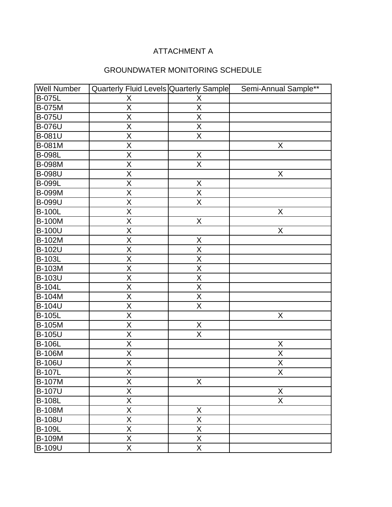| <b>Well Number</b> | Quarterly Fluid Levels Quarterly Sample |                         | Semi-Annual Sample**    |
|--------------------|-----------------------------------------|-------------------------|-------------------------|
| <b>B-075L</b>      | X                                       | X                       |                         |
| <b>B-075M</b>      | $\overline{\mathsf{X}}$                 | $\overline{\mathsf{X}}$ |                         |
| <b>B-075U</b>      | $\overline{X}$                          | X                       |                         |
| <b>B-076U</b>      | $\overline{X}$                          | $\overline{X}$          |                         |
| <b>B-081U</b>      | $\overline{\mathsf{X}}$                 | $\overline{X}$          |                         |
| B-081M             | X                                       |                         | X                       |
| <b>B-098L</b>      | $\overline{\mathsf{X}}$                 | X                       |                         |
| <b>B-098M</b>      | $\overline{\mathsf{X}}$                 | $\overline{\mathsf{X}}$ |                         |
| <b>B-098U</b>      | X                                       |                         | X                       |
| <b>B-099L</b>      | $\overline{\mathsf{X}}$                 | X                       |                         |
| <b>B-099M</b>      | $\overline{\mathsf{x}}$                 | $\overline{\mathsf{X}}$ |                         |
| <b>B-099U</b>      | $\overline{X}$                          | $\overline{X}$          |                         |
| <b>B-100L</b>      | $\overline{\mathsf{X}}$                 |                         | X                       |
| <b>B-100M</b>      | $\overline{\mathsf{X}}$                 | $\overline{X}$          |                         |
| <b>B-100U</b>      | $\overline{\mathsf{X}}$                 |                         | X                       |
| B-102M             | $\overline{\mathsf{X}}$                 | $\mathsf X$             |                         |
| <b>B-102U</b>      | X                                       | Χ                       |                         |
| <b>B-103L</b>      | $\overline{\mathsf{X}}$                 | $\overline{\mathsf{X}}$ |                         |
| <b>B-103M</b>      | $\overline{X}$                          | X                       |                         |
| <b>B-103U</b>      | X                                       | X                       |                         |
| <b>B-104L</b>      | $\overline{\mathsf{X}}$                 | $\overline{\mathsf{X}}$ |                         |
| <b>B-104M</b>      | X                                       | X                       |                         |
| <b>B-104U</b>      | $\mathsf X$                             | X                       |                         |
| <b>B-105L</b>      | $\overline{\mathsf{X}}$                 |                         | X                       |
| <b>B-105M</b>      | $\overline{\mathsf{X}}$                 | $\mathsf X$             |                         |
| <b>B-105U</b>      | $\overline{X}$                          | $\overline{X}$          |                         |
| <b>B-106L</b>      | $\overline{\mathsf{X}}$                 |                         | $\mathsf X$             |
| <b>B-106M</b>      | X                                       |                         | $\mathsf X$             |
| <b>B-106U</b>      | $\overline{\mathsf{X}}$                 |                         | $\overline{\mathsf{X}}$ |
| <b>B-107L</b>      | $\overline{X}$                          |                         | $\overline{\mathsf{X}}$ |
| <b>B-107M</b>      | X                                       | X                       |                         |
| <b>B-107U</b>      | X                                       |                         | X                       |
| <b>B-108L</b>      | $\overline{\mathsf{X}}$                 |                         | X                       |
| <b>B-108M</b>      | $\overline{\mathsf{X}}$                 | X                       |                         |
| <b>B-108U</b>      | $\overline{X}$                          | $\overline{X}$          |                         |
| <b>B-109L</b>      | $\overline{\mathsf{X}}$                 | $\overline{X}$          |                         |
| <b>B-109M</b>      | $\overline{\mathsf{X}}$                 | $\overline{X}$          |                         |
| <b>B-109U</b>      | $\overline{\mathsf{X}}$                 | $\overline{\mathsf{X}}$ |                         |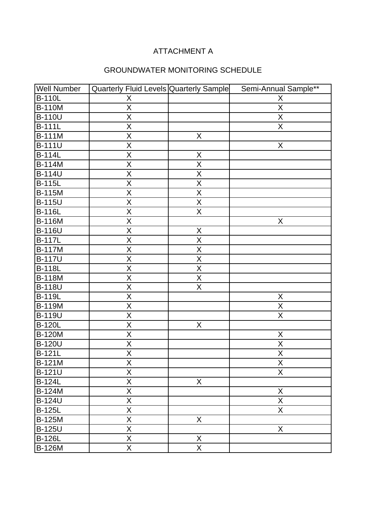| <b>Well Number</b>   | Quarterly Fluid Levels Quarterly Sample |                         | Semi-Annual Sample**    |
|----------------------|-----------------------------------------|-------------------------|-------------------------|
| <b>B-110L</b>        | X                                       |                         | X                       |
| <b>B-110M</b>        | $\overline{\mathsf{x}}$                 |                         | $\overline{X}$          |
| <b>B-110U</b>        | $\overline{\mathsf{x}}$                 |                         | $\overline{X}$          |
| <b>B-111L</b>        | $\overline{\mathsf{X}}$                 |                         | $\overline{\mathsf{X}}$ |
| <b>B-111M</b>        | $\overline{\mathsf{X}}$                 | X                       |                         |
| <b>B-111U</b>        | X                                       |                         | $\mathsf X$             |
| $\overline{B-1}$ 14L | $\overline{\mathsf{x}}$                 | $\sf X$                 |                         |
| <b>B-114M</b>        | $\overline{\mathsf{X}}$                 | $\overline{X}$          |                         |
| <b>B-114U</b>        | X                                       | $\sf X$                 |                         |
| $\overline{B}$ -115L | $\overline{\mathsf{X}}$                 | $\overline{\mathsf{X}}$ |                         |
| $B-115M$             | $\overline{\mathsf{X}}$                 | $\mathsf X$             |                         |
| <b>B-115U</b>        | $\overline{X}$                          | $\overline{X}$          |                         |
| <b>B-116L</b>        | $\overline{\mathsf{X}}$                 | $\overline{\mathsf{X}}$ |                         |
| <b>B-116M</b>        | $\overline{\mathsf{X}}$                 |                         | $\sf X$                 |
| <b>B-116U</b>        | $\overline{X}$                          | X                       |                         |
| <b>B-117L</b>        | $\overline{\mathsf{X}}$                 | $\overline{\mathsf{X}}$ |                         |
| <b>B-117M</b>        | $\mathsf X$                             | $\sf X$                 |                         |
| <b>B-117U</b>        | $\overline{\mathsf{X}}$                 | $\overline{\mathsf{X}}$ |                         |
| <b>B-118L</b>        | $\overline{\mathsf{X}}$                 | $\overline{\mathsf{X}}$ |                         |
| <b>B-118M</b>        | X                                       | X                       |                         |
| <b>B-118U</b>        | $\overline{\mathsf{X}}$                 | $\overline{\mathsf{X}}$ |                         |
| <b>B-119L</b>        | $\overline{\mathsf{X}}$                 |                         | $\sf X$                 |
| <b>B-119M</b>        | $\overline{\mathsf{X}}$                 |                         | $\mathsf{X}$            |
| <b>B-119U</b>        | $\overline{X}$                          |                         | $\sf X$                 |
| <b>B-120L</b>        | $\overline{X}$                          | $\sf X$                 |                         |
| <b>B-120M</b>        | $\overline{\mathsf{X}}$                 |                         | $\mathsf X$             |
| <b>B-120U</b>        | $\overline{\mathsf{X}}$                 |                         | $\overline{X}$          |
| <b>B-121L</b>        | $\overline{\mathsf{X}}$                 |                         | $\overline{X}$          |
| B-121M               | $\overline{\mathsf{X}}$                 |                         | $\overline{X}$          |
| <b>B-121U</b>        | X                                       |                         | X                       |
| <b>B-124L</b>        | $\overline{\mathsf{X}}$                 | $\mathsf{X}$            |                         |
| <b>B-124M</b>        | $\overline{X}$                          |                         | $\mathsf X$             |
| <b>B-124U</b>        | $\overline{\mathsf{X}}$                 |                         | $\mathsf X$             |
| <b>B-125L</b>        | $\overline{\mathsf{X}}$                 |                         | $\overline{X}$          |
| <b>B-125M</b>        | $\overline{\mathsf{X}}$                 | X                       |                         |
| <b>B-125U</b>        | $\overline{\mathsf{X}}$                 |                         | X                       |
| <b>B-126L</b>        | $\overline{\mathsf{X}}$                 | X                       |                         |
| <b>B-126M</b>        | $\overline{\mathsf{X}}$                 | $\overline{\mathsf{X}}$ |                         |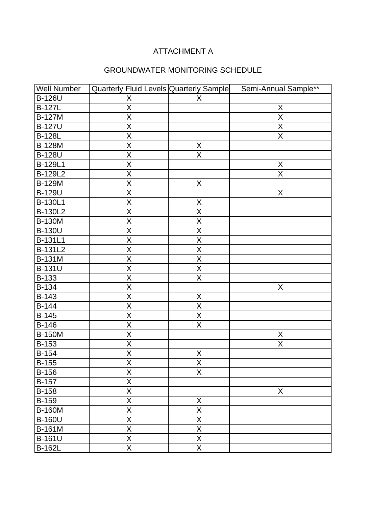| <b>Well Number</b> | Quarterly Fluid Levels Quarterly Sample |                         | Semi-Annual Sample** |
|--------------------|-----------------------------------------|-------------------------|----------------------|
| <b>B-126U</b>      | X                                       | X                       |                      |
| <b>B-127L</b>      | $\overline{\mathsf{x}}$                 |                         | X                    |
| <b>B-127M</b>      | $\overline{\mathsf{X}}$                 |                         | $\overline{X}$       |
| <b>B-127U</b>      | $\overline{\mathsf{x}}$                 |                         | $\overline{X}$       |
| <b>B-128L</b>      | $\overline{\mathsf{X}}$                 |                         | $\overline{X}$       |
| <b>B-128M</b>      | $\sf X$                                 | X                       |                      |
| <b>B-128U</b>      | $\overline{\mathsf{X}}$                 | $\overline{\mathsf{x}}$ |                      |
| B-129L1            | $\overline{X}$                          |                         | $\mathsf X$          |
| B-129L2            | X                                       |                         | $\sf X$              |
| <b>B-129M</b>      | $\overline{X}$                          | X                       |                      |
| <b>B-129U</b>      | $\overline{X}$                          |                         | $\mathsf X$          |
| B-130L1            | $\overline{X}$                          | X                       |                      |
| <b>B-130L2</b>     | $\overline{X}$                          | X                       |                      |
| <b>B-130M</b>      | $\overline{X}$                          | $\overline{X}$          |                      |
| <b>B-130U</b>      | $\overline{\mathsf{X}}$                 | $\overline{\mathsf{X}}$ |                      |
| B-131L1            | $\overline{\mathsf{X}}$                 | $\overline{\mathsf{X}}$ |                      |
| <b>B-131L2</b>     | $\overline{\mathsf{X}}$                 | $\overline{X}$          |                      |
| <b>B-131M</b>      | $\overline{\mathsf{X}}$                 | $\overline{\mathsf{X}}$ |                      |
| <b>B-131U</b>      | $\overline{X}$                          | X                       |                      |
| B-133              | $\overline{X}$                          | X                       |                      |
| B-134              | $\overline{X}$                          |                         | $\mathsf X$          |
| B-143              | X                                       | X                       |                      |
| <b>B-144</b>       | $\overline{X}$                          | $\overline{\mathsf{x}}$ |                      |
| B-145              | $\overline{\mathsf{X}}$                 | $\overline{\mathsf{X}}$ |                      |
| B-146              | $\overline{X}$                          | $\overline{\mathsf{X}}$ |                      |
| <b>B-150M</b>      | $\overline{X}$                          |                         | X                    |
| B-153              | $\overline{\mathsf{X}}$                 |                         | $\overline{X}$       |
| <b>B-154</b>       | $\sf X$                                 | Χ                       |                      |
| B-155              | $\overline{X}$                          | $\overline{\mathsf{X}}$ |                      |
| <b>B-156</b>       | X                                       | X                       |                      |
| <b>B-157</b>       | $\overline{\mathsf{X}}$                 |                         |                      |
| <b>B-158</b>       | $\overline{X}$                          |                         | X                    |
| <b>B-159</b>       | $\overline{X}$                          | X                       |                      |
| <b>B-160M</b>      | $\overline{X}$                          | $\mathsf X$             |                      |
| <b>B-160U</b>      | $\overline{X}$                          | X                       |                      |
| <b>B-161M</b>      | $\overline{\mathsf{X}}$                 | $\overline{\mathsf{X}}$ |                      |
| B-161U             | $\overline{\mathsf{X}}$                 | $\overline{X}$          |                      |
| <b>B-162L</b>      | $\overline{\mathsf{X}}$                 | $\overline{X}$          |                      |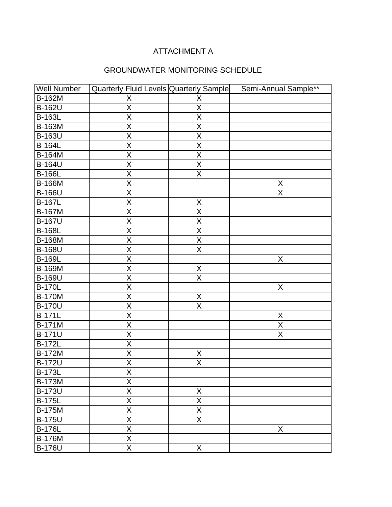| <b>Well Number</b> | Quarterly Fluid Levels Quarterly Sample |                         | Semi-Annual Sample** |
|--------------------|-----------------------------------------|-------------------------|----------------------|
| <b>B-162M</b>      | X                                       | Χ                       |                      |
| <b>B-162U</b>      | $\overline{\mathsf{X}}$                 | $\overline{\mathsf{X}}$ |                      |
| <b>B-163L</b>      | $\overline{\mathsf{x}}$                 | $\overline{\mathsf{x}}$ |                      |
| <b>B-163M</b>      | $\overline{\mathsf{x}}$                 | $\overline{\mathsf{X}}$ |                      |
| <b>B-163U</b>      | $\overline{\mathsf{X}}$                 | $\overline{\mathsf{X}}$ |                      |
| <b>B-164L</b>      | X                                       | X                       |                      |
| <b>B-164M</b>      | $\overline{\mathsf{x}}$                 | $\overline{\mathsf{x}}$ |                      |
| <b>B-164U</b>      | $\overline{X}$                          | $\overline{X}$          |                      |
| <b>B-166L</b>      | X                                       | X                       |                      |
| <b>B-166M</b>      | $\overline{\mathsf{X}}$                 |                         | X                    |
| <b>B-166U</b>      | $\overline{\mathsf{X}}$                 |                         | X                    |
| <b>B-167L</b>      | $\overline{\mathsf{X}}$                 | X                       |                      |
| <b>B-167M</b>      | $\overline{\mathsf{X}}$                 | $\overline{\mathsf{X}}$ |                      |
| <b>B-167U</b>      | $\overline{X}$                          | $\overline{\mathsf{X}}$ |                      |
| <b>B-168L</b>      | $\overline{\mathsf{X}}$                 | X                       |                      |
| <b>B-168M</b>      | $\overline{\mathsf{X}}$                 | $\overline{X}$          |                      |
| <b>B-168U</b>      | $\sf X$                                 | X                       |                      |
| <b>B-169L</b>      | $\overline{\mathsf{X}}$                 |                         | $\overline{X}$       |
| <b>B-169M</b>      | $\overline{X}$                          | X                       |                      |
| <b>B-169U</b>      | X                                       | X                       |                      |
| <b>B-170L</b>      | $\overline{\mathsf{X}}$                 |                         | X                    |
| <b>B-170M</b>      | $\overline{\mathsf{X}}$                 | X                       |                      |
| <b>B-170U</b>      | $\overline{\mathsf{X}}$                 | $\overline{X}$          |                      |
| <b>B-171L</b>      | $\overline{X}$                          |                         | X                    |
| <b>B-171M</b>      | $\overline{X}$                          |                         | $\overline{X}$       |
| <b>B-171U</b>      | $\overline{\mathsf{X}}$                 |                         | $\overline{X}$       |
| <b>B-172L</b>      | $\overline{\mathsf{X}}$                 |                         |                      |
| <b>B-172M</b>      | $\overline{\mathsf{x}}$                 | X                       |                      |
| <b>B-172U</b>      | $\overline{\mathsf{X}}$                 | $\overline{\mathsf{x}}$ |                      |
| <b>B-173L</b>      | X                                       |                         |                      |
| <b>B-173M</b>      | X                                       |                         |                      |
| <b>B-173U</b>      | $\overline{X}$                          | X                       |                      |
| <b>B-175L</b>      | $\overline{X}$                          | X                       |                      |
| <b>B-175M</b>      | $\overline{\mathsf{X}}$                 | $\overline{X}$          |                      |
| <b>B-175U</b>      | $\overline{\mathsf{X}}$                 | $\overline{\mathsf{X}}$ |                      |
| <b>B-176L</b>      | $\overline{\mathsf{X}}$                 |                         | X                    |
| <b>B-176M</b>      | $\overline{X}$                          |                         |                      |
| <b>B-176U</b>      | $\overline{\mathsf{X}}$                 | X                       |                      |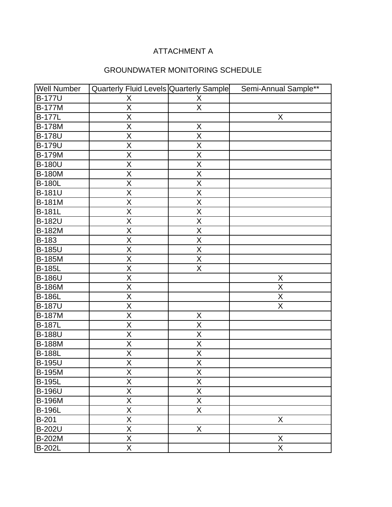| <b>Well Number</b> | Quarterly Fluid Levels Quarterly Sample |                         | Semi-Annual Sample** |
|--------------------|-----------------------------------------|-------------------------|----------------------|
| <b>B-177U</b>      | X                                       | X                       |                      |
| <b>B-177M</b>      | $\overline{X}$                          | $\overline{X}$          |                      |
| <b>B-177L</b>      | X                                       |                         | X                    |
| <b>B-178M</b>      | X                                       | X                       |                      |
| <b>B-178U</b>      | X                                       | X                       |                      |
| <b>B-179U</b>      | X                                       | X                       |                      |
| <b>B-179M</b>      | $\overline{X}$                          | $\overline{\mathsf{X}}$ |                      |
| <b>B-180U</b>      | $\overline{X}$                          | X                       |                      |
| <b>B-180M</b>      | $\mathsf X$                             | $\sf X$                 |                      |
| <b>B-180L</b>      | $\overline{X}$                          | $\sf X$                 |                      |
| <b>B-181U</b>      | $\overline{\mathsf{X}}$                 | $\overline{\mathsf{X}}$ |                      |
| <b>B-181M</b>      | $\overline{X}$                          | $\overline{X}$          |                      |
| <b>B-181L</b>      | $\overline{\mathsf{X}}$                 | $\overline{X}$          |                      |
| <b>B-182U</b>      | $\overline{\mathsf{X}}$                 | $\overline{\mathsf{X}}$ |                      |
| <b>B-182M</b>      | $\mathsf X$                             | X                       |                      |
| B-183              | $\overline{\mathsf{X}}$                 | $\overline{\mathsf{X}}$ |                      |
| <b>B-185U</b>      | $\sf X$                                 | X                       |                      |
| <b>B-185M</b>      | X                                       | X                       |                      |
| <b>B-185L</b>      | $\overline{\mathsf{X}}$                 | $\overline{\mathsf{X}}$ |                      |
| <b>B-186U</b>      | $\sf X$                                 |                         | X                    |
| <b>B-186M</b>      | $\overline{X}$                          |                         | $\mathsf X$          |
| <b>B-186L</b>      | $\mathsf X$                             |                         | X                    |
| <b>B-187U</b>      | $\sf X$                                 |                         | X                    |
| <b>B-187M</b>      | $\overline{X}$                          | X                       |                      |
| <b>B-187L</b>      | $\overline{\mathsf{X}}$                 | $\overline{\mathsf{X}}$ |                      |
| <b>B-188U</b>      | $\overline{X}$                          | X                       |                      |
| <b>B-188M</b>      | $\mathsf X$                             | X                       |                      |
| <b>B-188L</b>      | $\mathsf X$                             | X                       |                      |
| <b>B-195U</b>      | X                                       | $\overline{\mathsf{X}}$ |                      |
| <b>B-195M</b>      | $\overline{X}$                          | $\overline{X}$          |                      |
| <b>B-195L</b>      | X                                       | X                       |                      |
| <b>B-196U</b>      | $\overline{\mathsf{X}}$                 | $\overline{X}$          |                      |
| <b>B-196M</b>      | X                                       | X                       |                      |
| <b>B-196L</b>      | $\mathsf{X}% _{0}$                      | X                       |                      |
| <b>B-201</b>       | $\overline{\mathsf{X}}$                 |                         | X                    |
| <b>B-202U</b>      | $\overline{\mathsf{X}}$                 | X                       |                      |
| <b>B-202M</b>      | $\mathsf X$                             |                         | X                    |
| <b>B-202L</b>      | $\overline{\mathsf{X}}$                 |                         | $\overline{X}$       |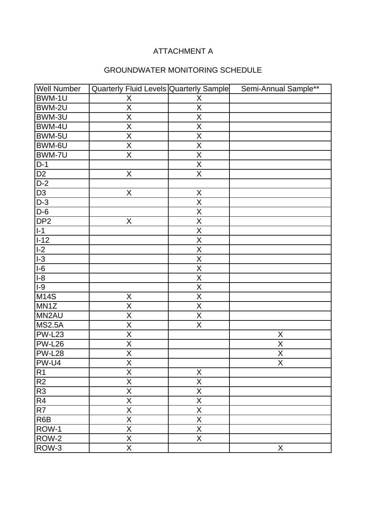| <b>Well Number</b> | Quarterly Fluid Levels Quarterly Sample |                         | Semi-Annual Sample**    |
|--------------------|-----------------------------------------|-------------------------|-------------------------|
| BWM-1U             | X                                       | X                       |                         |
| BWM-2U             | $\overline{\mathsf{X}}$                 | $\overline{\mathsf{X}}$ |                         |
| BWM-3U             | $\overline{X}$                          | $\sf X$                 |                         |
| BWM-4U             | $\overline{X}$                          | $\mathsf X$             |                         |
| BWM-5U             | $\overline{\mathsf{x}}$                 | $\overline{\mathsf{X}}$ |                         |
| BWM-6U             | $\mathsf X$                             | X                       |                         |
| BWM-7U             | $\overline{\mathsf{X}}$                 | $\overline{\mathsf{X}}$ |                         |
| $D-1$              |                                         | $\overline{\mathsf{X}}$ |                         |
| D <sub>2</sub>     | X                                       | X                       |                         |
| $D-2$              |                                         |                         |                         |
| D <sub>3</sub>     | X                                       | X                       |                         |
| $D-3$              |                                         | $\overline{X}$          |                         |
| $D-6$              |                                         | $\sf X$                 |                         |
| DP <sub>2</sub>    | $\overline{X}$                          | $\overline{\mathsf{X}}$ |                         |
| $I-1$              |                                         | $\overline{\mathsf{X}}$ |                         |
| $I-12$             |                                         | $\overline{\mathsf{X}}$ |                         |
| $I-2$              |                                         | X                       |                         |
| $ -3 $             |                                         | $\overline{\mathsf{X}}$ |                         |
| $I-6$              |                                         | $\mathsf X$             |                         |
| $I-8$              |                                         | $\sf X$                 |                         |
| $1-9$              |                                         | $\overline{\mathsf{x}}$ |                         |
| <b>M14S</b>        | X                                       | $\sf X$                 |                         |
| MN1Z               | $\mathsf X$                             | X                       |                         |
| MN2AU              | $\overline{\mathsf{X}}$                 | $\overline{\mathsf{X}}$ |                         |
| <b>MS2.5A</b>      | $\overline{\mathsf{X}}$                 | $\overline{\mathsf{x}}$ |                         |
| <b>PW-L23</b>      | $\mathsf X$                             |                         | X                       |
| <b>PW-L26</b>      | $\overline{X}$                          |                         | $\overline{X}$          |
| <b>PW-L28</b>      | $\overline{X}$                          |                         | $\mathsf X$             |
| PW-U4              | $\overline{\mathsf{X}}$                 |                         | $\overline{\mathsf{X}}$ |
| $\overline{R1}$    | $\overline{X}$                          | $\overline{X}$          |                         |
| R2                 | X                                       | X                       |                         |
| R <sub>3</sub>     | X                                       | X                       |                         |
| R4                 | X                                       | X                       |                         |
| $\overline{R7}$    | $\overline{X}$                          | X                       |                         |
| R6B                | X                                       | X                       |                         |
| ROW-1              | $\overline{\mathsf{X}}$                 | X                       |                         |
| $\overline{ROW-2}$ | $\overline{X}$                          | $\overline{X}$          |                         |
| ROW-3              | $\overline{\mathsf{X}}$                 |                         | X                       |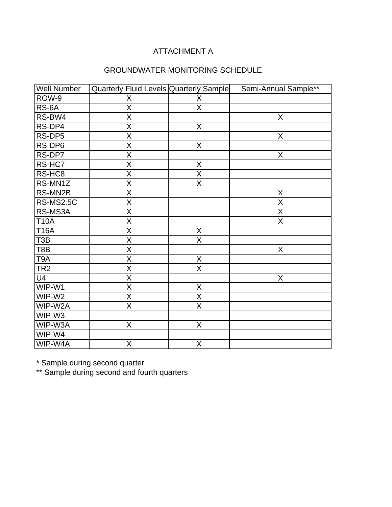# GROUNDWATER MONITORING SCHEDULE

| <b>Well Number</b> | Quarterly Fluid Levels Quarterly Sample |                         | Semi-Annual Sample** |
|--------------------|-----------------------------------------|-------------------------|----------------------|
| ROW-9              | X                                       | X                       |                      |
| RS-6A              | $\overline{\mathsf{x}}$                 | $\overline{X}$          |                      |
| RS-BW4             | X                                       |                         | X                    |
| RS-DP4             | $\overline{X}$                          | X                       |                      |
| RS-DP5             | $\overline{\mathsf{X}}$                 |                         | $\overline{X}$       |
| RS-DP6             | X                                       | X                       |                      |
| RS-DP7             | $\overline{X}$                          |                         | $\mathsf{X}$         |
| RS-HC7             | $\overline{\mathsf{X}}$                 | $\mathsf X$             |                      |
| RS-HC8             | X                                       | X                       |                      |
| RS-MN1Z            | $\overline{\mathsf{X}}$                 | $\overline{X}$          |                      |
| RS-MN2B            | $\overline{X}$                          |                         | $\mathsf X$          |
| <b>RS-MS2.5C</b>   | X                                       |                         | X                    |
| RS-MS3A            | $\overline{\mathsf{X}}$                 |                         | $\overline{X}$       |
| <b>T10A</b>        | $\overline{X}$                          |                         | $\overline{X}$       |
| <b>T16A</b>        | X                                       | Χ                       |                      |
| T <sub>3</sub> B   | $\overline{\mathsf{X}}$                 | $\overline{\mathsf{X}}$ |                      |
| T8B                | X                                       |                         | $\mathsf X$          |
| T <sub>9</sub> A   | X                                       | X                       |                      |
| TR <sub>2</sub>    | X                                       | X                       |                      |
| U <sub>4</sub>     | X                                       |                         | $\sf X$              |
| WIP-W1             | $\overline{\mathsf{X}}$                 | X                       |                      |
| WIP-W2             | X                                       | X                       |                      |
| WIP-W2A            | $\overline{\mathsf{X}}$                 | $\overline{\mathsf{X}}$ |                      |
| WIP-W3             |                                         |                         |                      |
| WIP-W3A            | X                                       | X                       |                      |
| WIP-W4             |                                         |                         |                      |
| WIP-W4A            | X                                       | X                       |                      |

\* Sample during second quarter

\*\* Sample during second and fourth quarters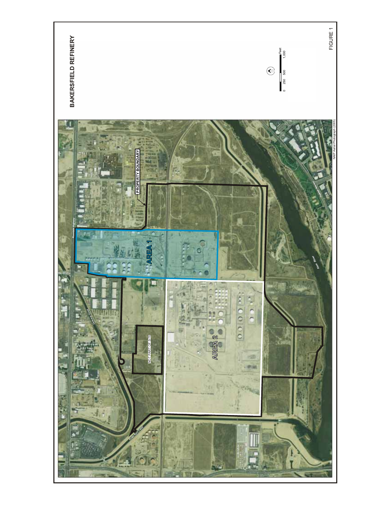